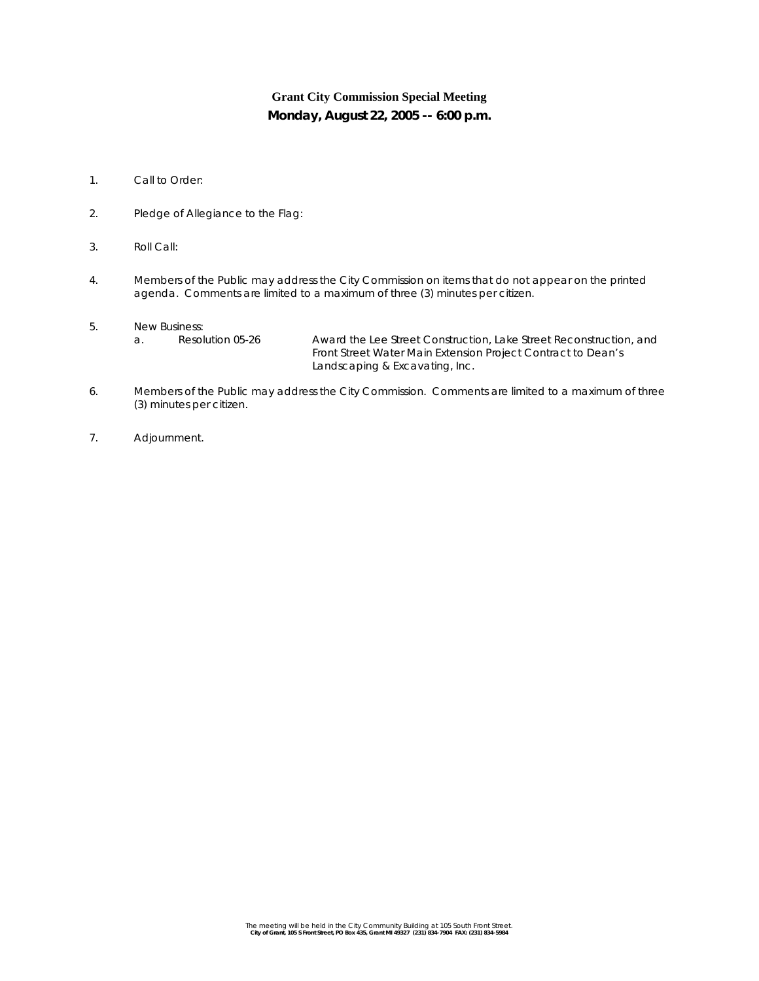## **Grant City Commission Special Meeting Monday, August 22, 2005 -- 6:00 p.m.**

- 1. Call to Order:
- 2. Pledge of Allegiance to the Flag:
- 3. Roll Call:
- 4. Members of the Public may address the City Commission on items that do not appear on the printed agenda. Comments are limited to a maximum of three (3) minutes per citizen.
- 5. New Business:

a. Resolution 05-26 Award the *Lee Street Construction, Lake Street Reconstruction, and Front Street Water Main Extension Project* Contract to Dean's Landscaping & Excavating, Inc.

- 6. Members of the Public may address the City Commission. Comments are limited to a maximum of three (3) minutes per citizen.
- 7. Adjournment.